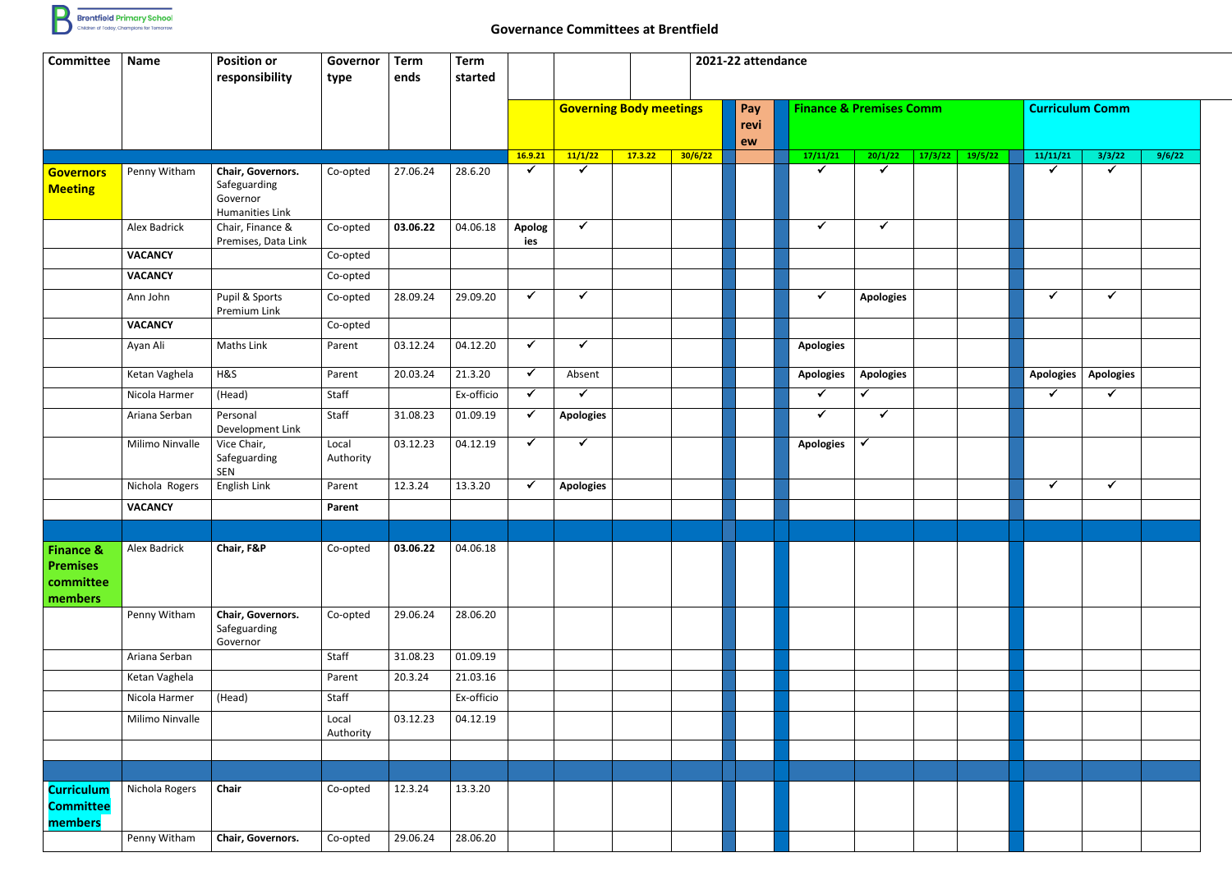

## **Governance Committees at Brentfield**

| <b>Committee</b>                                                | <b>Name</b>         | <b>Position or</b><br>responsibility                             | Governor<br>type   | <b>Term</b><br>ends | <b>Term</b><br>started |                      | 2021-22 attendance |         |                                |    |                                    |                    |         |                        |                      |        |  |  |
|-----------------------------------------------------------------|---------------------|------------------------------------------------------------------|--------------------|---------------------|------------------------|----------------------|--------------------|---------|--------------------------------|----|------------------------------------|--------------------|---------|------------------------|----------------------|--------|--|--|
|                                                                 |                     |                                                                  |                    |                     |                        |                      |                    |         | <b>Governing Body meetings</b> |    | <b>Finance &amp; Premises Comm</b> |                    |         | <b>Curriculum Comm</b> |                      |        |  |  |
|                                                                 |                     |                                                                  |                    |                     |                        | 16.9.21              | 11/1/22            | 17.3.22 | 30/6/22                        | ew | 17/11/21                           | 20/1/22<br>17/3/22 | 19/5/22 | 11/11/21               | 3/3/22               | 9/6/22 |  |  |
| <b>Governors</b><br><b>Meeting</b>                              | Penny Witham        | Chair, Governors.<br>Safeguarding<br>Governor<br>Humanities Link | Co-opted           | 27.06.24            | 28.6.20                | $\checkmark$         | $\checkmark$       |         |                                |    | $\checkmark$                       | $\checkmark$       |         | $\checkmark$           | $\blacktriangledown$ |        |  |  |
|                                                                 | Alex Badrick        | Chair, Finance &<br>Premises, Data Link                          | Co-opted           | 03.06.22            | 04.06.18               | <b>Apolog</b><br>ies | $\checkmark$       |         |                                |    | $\checkmark$                       | $\checkmark$       |         |                        |                      |        |  |  |
|                                                                 | <b>VACANCY</b>      |                                                                  | Co-opted           |                     |                        |                      |                    |         |                                |    |                                    |                    |         |                        |                      |        |  |  |
|                                                                 | <b>VACANCY</b>      |                                                                  | Co-opted           |                     |                        |                      |                    |         |                                |    |                                    |                    |         |                        |                      |        |  |  |
|                                                                 | Ann John            | Pupil & Sports<br>Premium Link                                   | Co-opted           | 28.09.24            | 29.09.20               | $\checkmark$         | $\checkmark$       |         |                                |    | $\checkmark$                       | <b>Apologies</b>   |         | $\checkmark$           | $\checkmark$         |        |  |  |
|                                                                 | <b>VACANCY</b>      |                                                                  | Co-opted           |                     |                        |                      |                    |         |                                |    |                                    |                    |         |                        |                      |        |  |  |
|                                                                 | Ayan Ali            | Maths Link                                                       | Parent             | 03.12.24            | 04.12.20               | $\checkmark$         | $\checkmark$       |         |                                |    | <b>Apologies</b>                   |                    |         |                        |                      |        |  |  |
|                                                                 | Ketan Vaghela       | H&S                                                              | Parent             | 20.03.24            | 21.3.20                | $\checkmark$         | Absent             |         |                                |    | <b>Apologies</b>                   | <b>Apologies</b>   |         | <b>Apologies</b>       | <b>Apologies</b>     |        |  |  |
|                                                                 | Nicola Harmer       | (Head)                                                           | Staff              |                     | Ex-officio             | $\checkmark$         | $\checkmark$       |         |                                |    | $\checkmark$                       | ✓                  |         | $\checkmark$           | $\checkmark$         |        |  |  |
|                                                                 | Ariana Serban       | Personal<br>Development Link                                     | Staff              | 31.08.23            | 01.09.19               |                      | <b>Apologies</b>   |         |                                |    | $\checkmark$                       | $\checkmark$       |         |                        |                      |        |  |  |
|                                                                 | Milimo Ninvalle     | Vice Chair,<br>Safeguarding<br>SEN                               | Local<br>Authority | 03.12.23            | 04.12.19               | $\checkmark$         | $\checkmark$       |         |                                |    | <b>Apologies</b>                   | $\checkmark$       |         |                        |                      |        |  |  |
|                                                                 | Nichola Rogers      | English Link                                                     | Parent             | 12.3.24             | 13.3.20                | $\checkmark$         | <b>Apologies</b>   |         |                                |    |                                    |                    |         | $\checkmark$           | $\checkmark$         |        |  |  |
|                                                                 | <b>VACANCY</b>      |                                                                  | Parent             |                     |                        |                      |                    |         |                                |    |                                    |                    |         |                        |                      |        |  |  |
|                                                                 |                     |                                                                  |                    |                     |                        |                      |                    |         |                                |    |                                    |                    |         |                        |                      |        |  |  |
| <b>Finance &amp;</b><br><b>Premises</b><br>committee<br>members | <b>Alex Badrick</b> | Chair, F&P                                                       | Co-opted           | 03.06.22            | 04.06.18               |                      |                    |         |                                |    |                                    |                    |         |                        |                      |        |  |  |
|                                                                 | Penny Witham        | Chair, Governors.<br>Safeguarding<br>Governor                    | Co-opted           | 29.06.24            | 28.06.20               |                      |                    |         |                                |    |                                    |                    |         |                        |                      |        |  |  |
|                                                                 | Ariana Serban       |                                                                  | Staff              | 31.08.23            | 01.09.19               |                      |                    |         |                                |    |                                    |                    |         |                        |                      |        |  |  |
|                                                                 | Ketan Vaghela       |                                                                  | Parent             | 20.3.24             | 21.03.16               |                      |                    |         |                                |    |                                    |                    |         |                        |                      |        |  |  |
|                                                                 | Nicola Harmer       | (Head)                                                           | Staff              |                     | Ex-officio             |                      |                    |         |                                |    |                                    |                    |         |                        |                      |        |  |  |
|                                                                 | Milimo Ninvalle     |                                                                  | Local<br>Authority | 03.12.23            | 04.12.19               |                      |                    |         |                                |    |                                    |                    |         |                        |                      |        |  |  |
|                                                                 |                     |                                                                  |                    |                     |                        |                      |                    |         |                                |    |                                    |                    |         |                        |                      |        |  |  |
|                                                                 |                     |                                                                  |                    |                     |                        |                      |                    |         |                                |    |                                    |                    |         |                        |                      |        |  |  |
| <b>Curriculum</b><br><b>Committee</b><br>members                | Nichola Rogers      | Chair                                                            | Co-opted           | 12.3.24             | 13.3.20                |                      |                    |         |                                |    |                                    |                    |         |                        |                      |        |  |  |
|                                                                 | Penny Witham        | Chair, Governors.                                                | Co-opted           | 29.06.24            | 28.06.20               |                      |                    |         |                                |    |                                    |                    |         |                        |                      |        |  |  |